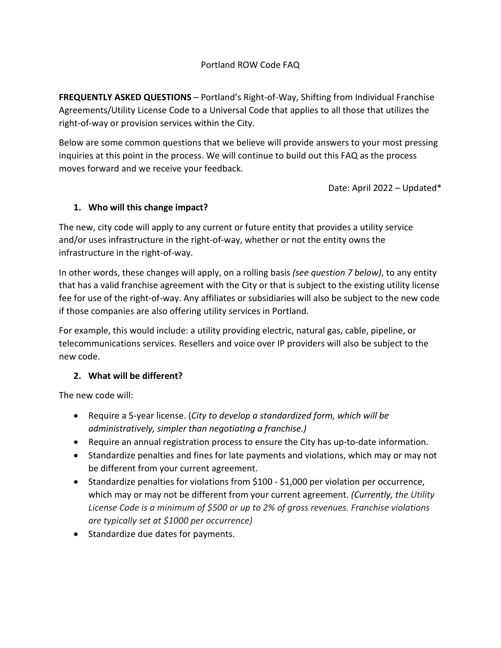## Portland ROW Code FAQ

**FREQUENTLY ASKED QUESTIONS** – Portland's Right-of-Way, Shifting from Individual Franchise Agreements/Utility License Code to a Universal Code that applies to all those that utilizes the right-of-way or provision services within the City.

Below are some common questions that we believe will provide answers to your most pressing inquiries at this point in the process. We will continue to build out this FAQ as the process moves forward and we receive your feedback.

Date: April 2022 – Updated\*

## **1. Who will this change impact?**

The new, city code will apply to any current or future entity that provides a utility service and/or uses infrastructure in the right-of-way, whether or not the entity owns the infrastructure in the right-of-way.

In other words, these changes will apply, on a rolling basis *(see question 7 below)*, to any entity that has a valid franchise agreement with the City or that is subject to the existing utility license fee for use of the right-of-way. Any affiliates or subsidiaries will also be subject to the new code if those companies are also offering utility services in Portland.

For example, this would include: a utility providing electric, natural gas, cable, pipeline, or telecommunications services. Resellers and voice over IP providers will also be subject to the new code.

## **2. What will be different?**

The new code will:

- Require a 5-year license. (*City to develop a standardized form, which will be administratively, simpler than negotiating a franchise.)*
- Require an annual registration process to ensure the City has up-to-date information.
- Standardize penalties and fines for late payments and violations, which may or may not be different from your current agreement.
- Standardize penalties for violations from \$100 \$1,000 per violation per occurrence, which may or may not be different from your current agreement. *(Currently, the Utility License Code is a minimum of \$500 or up to 2% of gross revenues. Franchise violations are typically set at \$1000 per occurrence)*
- Standardize due dates for payments.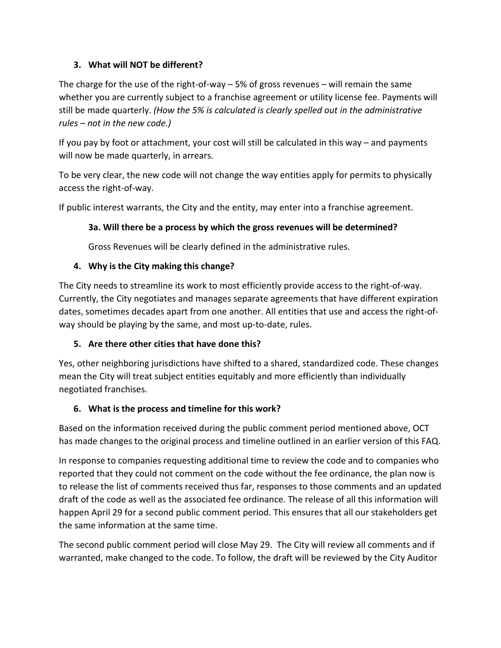# **3. What will NOT be different?**

The charge for the use of the right-of-way  $-5\%$  of gross revenues  $-$  will remain the same whether you are currently subject to a franchise agreement or utility license fee. Payments will still be made quarterly. *(How the 5% is calculated is clearly spelled out in the administrative rules – not in the new code.)* 

If you pay by foot or attachment, your cost will still be calculated in this way – and payments will now be made quarterly, in arrears.

To be very clear, the new code will not change the way entities apply for permits to physically access the right-of-way.

If public interest warrants, the City and the entity, may enter into a franchise agreement.

## **3a. Will there be a process by which the gross revenues will be determined?**

Gross Revenues will be clearly defined in the administrative rules.

## **4. Why is the City making this change?**

The City needs to streamline its work to most efficiently provide access to the right-of-way. Currently, the City negotiates and manages separate agreements that have different expiration dates, sometimes decades apart from one another. All entities that use and access the right-ofway should be playing by the same, and most up-to-date, rules.

# **5. Are there other cities that have done this?**

Yes, other neighboring jurisdictions have shifted to a shared, standardized code. These changes mean the City will treat subject entities equitably and more efficiently than individually negotiated franchises.

## **6. What is the process and timeline for this work?**

Based on the information received during the public comment period mentioned above, OCT has made changes to the original process and timeline outlined in an earlier version of this FAQ.

In response to companies requesting additional time to review the code and to companies who reported that they could not comment on the code without the fee ordinance, the plan now is to release the list of comments received thus far, responses to those comments and an updated draft of the code as well as the associated fee ordinance. The release of all this information will happen April 29 for a second public comment period. This ensures that all our stakeholders get the same information at the same time.

The second public comment period will close May 29. The City will review all comments and if warranted, make changed to the code. To follow, the draft will be reviewed by the City Auditor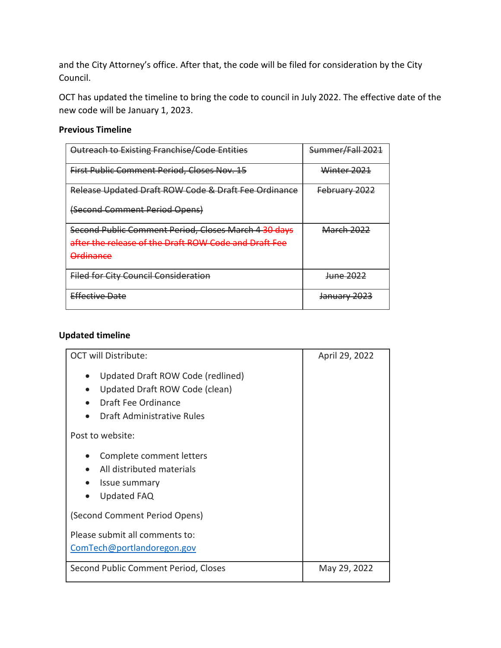and the City Attorney's office. After that, the code will be filed for consideration by the City Council.

OCT has updated the timeline to bring the code to council in July 2022. The effective date of the new code will be January 1, 2023.

#### **Previous Timeline**

| <b>Outreach to Existing Franchise/Code Entities</b>   | Summer/Fall 2021       |
|-------------------------------------------------------|------------------------|
| <b>First Public Comment Period, Closes Nov. 15</b>    | Winter 2021            |
| Release Updated Draft ROW Code & Draft Fee Ordinance  | February 2022          |
| (Second Comment Period Opens)                         |                        |
| Second Public Comment Period, Closes March 4 30 days  | <u> March 2022</u>     |
| after the release of the Draft ROW Code and Draft Fee |                        |
| Ardinanco<br><del>orumance</del>                      |                        |
| <b>Filed for City Council Consideration</b>           | <del>June 2022</del>   |
| <b>Effective Date</b>                                 | <del>January 202</del> |

### **Updated timeline**

| <b>OCT will Distribute:</b>                                                                                              | April 29, 2022 |
|--------------------------------------------------------------------------------------------------------------------------|----------------|
| Updated Draft ROW Code (redlined)<br>Updated Draft ROW Code (clean)<br>Draft Fee Ordinance<br>Draft Administrative Rules |                |
| Post to website:                                                                                                         |                |
| Complete comment letters<br>All distributed materials<br>Issue summary<br><b>Updated FAQ</b>                             |                |
| (Second Comment Period Opens)                                                                                            |                |
| Please submit all comments to:<br>ComTech@portlandoregon.gov                                                             |                |
| Second Public Comment Period, Closes                                                                                     | May 29, 2022   |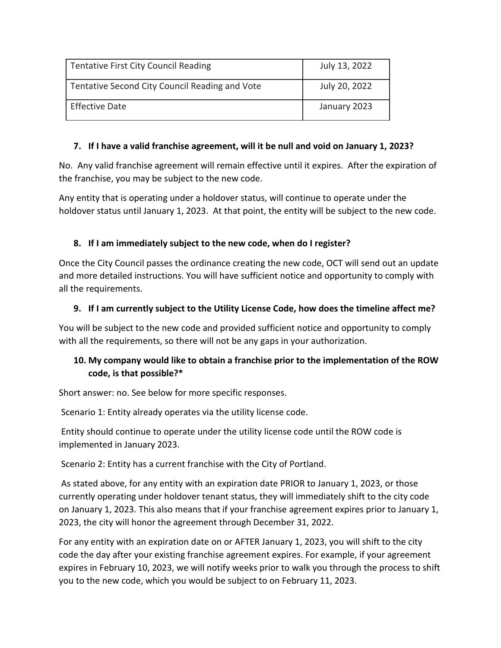| Tentative First City Council Reading           | July 13, 2022 |
|------------------------------------------------|---------------|
| Tentative Second City Council Reading and Vote | July 20, 2022 |
| <b>Effective Date</b>                          | January 2023  |

### **7. If I have a valid franchise agreement, will it be null and void on January 1, 2023?**

No. Any valid franchise agreement will remain effective until it expires. After the expiration of the franchise, you may be subject to the new code.

Any entity that is operating under a holdover status, will continue to operate under the holdover status until January 1, 2023. At that point, the entity will be subject to the new code.

## **8. If I am immediately subject to the new code, when do I register?**

Once the City Council passes the ordinance creating the new code, OCT will send out an update and more detailed instructions. You will have sufficient notice and opportunity to comply with all the requirements.

## **9. If I am currently subject to the Utility License Code, how does the timeline affect me?**

You will be subject to the new code and provided sufficient notice and opportunity to comply with all the requirements, so there will not be any gaps in your authorization.

# **10. My company would like to obtain a franchise prior to the implementation of the ROW code, is that possible?\***

Short answer: no. See below for more specific responses.

Scenario 1: Entity already operates via the utility license code.

Entity should continue to operate under the utility license code until the ROW code is implemented in January 2023.

Scenario 2: Entity has a current franchise with the City of Portland.

As stated above, for any entity with an expiration date PRIOR to January 1, 2023, or those currently operating under holdover tenant status, they will immediately shift to the city code on January 1, 2023. This also means that if your franchise agreement expires prior to January 1, 2023, the city will honor the agreement through December 31, 2022.

For any entity with an expiration date on or AFTER January 1, 2023, you will shift to the city code the day after your existing franchise agreement expires. For example, if your agreement expires in February 10, 2023, we will notify weeks prior to walk you through the process to shift you to the new code, which you would be subject to on February 11, 2023.